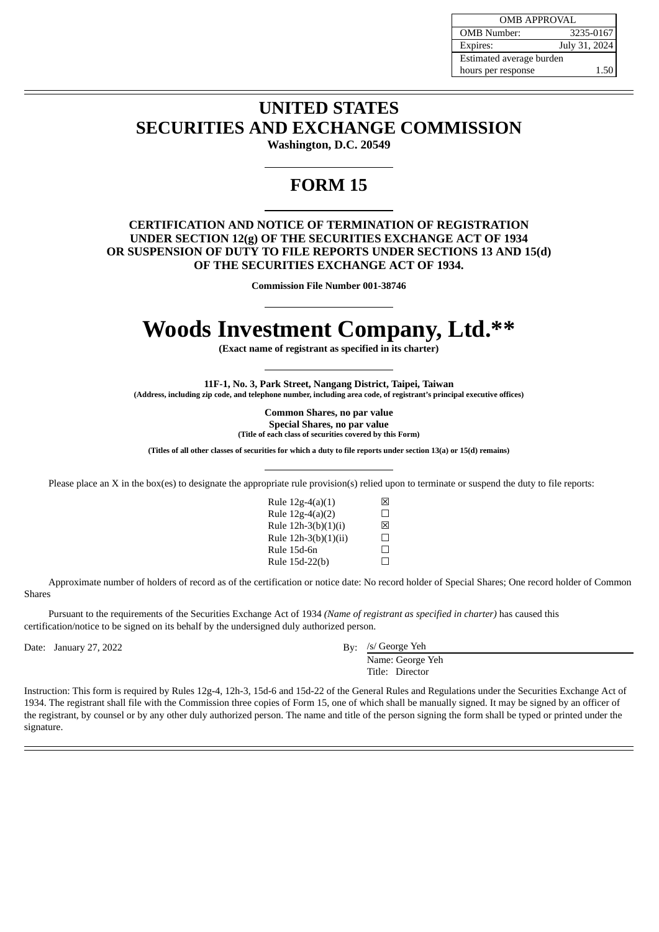| <b>OMB APPROVAL</b>      |               |  |
|--------------------------|---------------|--|
| <b>OMB</b> Number:       | 3235-0167     |  |
| Expires:                 | July 31, 2024 |  |
| Estimated average burden |               |  |
| hours per response       | 1.50          |  |

## **UNITED STATES SECURITIES AND EXCHANGE COMMISSION**

**Washington, D.C. 20549**

## **FORM 15**

## **CERTIFICATION AND NOTICE OF TERMINATION OF REGISTRATION UNDER SECTION 12(g) OF THE SECURITIES EXCHANGE ACT OF 1934 OR SUSPENSION OF DUTY TO FILE REPORTS UNDER SECTIONS 13 AND 15(d) OF THE SECURITIES EXCHANGE ACT OF 1934.**

**Commission File Number 001-38746**

## **Woods Investment Company, Ltd.\*\***

**(Exact name of registrant as specified in its charter)**

**11F-1, No. 3, Park Street, Nangang District, Taipei, Taiwan (Address, including zip code, and telephone number, including area code, of registrant's principal executive offices)**

> **Common Shares, no par value Special Shares, no par value (Title of each class of securities covered by this Form)**

(Titles of all other classes of securities for which a duty to file reports under section 13(a) or 15(d) remains)

Please place an X in the box(es) to designate the appropriate rule provision(s) relied upon to terminate or suspend the duty to file reports:

| Rule $12g-4(a)(1)$   | Ι×Ι               |
|----------------------|-------------------|
| Rule 12g-4(a)(2)     | П                 |
| Rule 12h-3(b)(1)(i)  | ⊠                 |
| Rule 12h-3(b)(1)(ii) | $\mathsf{L}$      |
| Rule 15d-6n          | $\vert \ \ \vert$ |
| Rule 15d-22(b)       | $\mathsf{L}$      |
|                      |                   |

Approximate number of holders of record as of the certification or notice date: No record holder of Special Shares; One record holder of Common Shares

Pursuant to the requirements of the Securities Exchange Act of 1934 *(Name of registrant as specified in charter)* has caused this certification/notice to be signed on its behalf by the undersigned duly authorized person.

Date: January 27, 2022

By: /s/ George Yeh

Name: George Yeh Title: Director

Instruction: This form is required by Rules 12g-4, 12h-3, 15d-6 and 15d-22 of the General Rules and Regulations under the Securities Exchange Act of 1934. The registrant shall file with the Commission three copies of Form 15, one of which shall be manually signed. It may be signed by an officer of the registrant, by counsel or by any other duly authorized person. The name and title of the person signing the form shall be typed or printed under the signature.